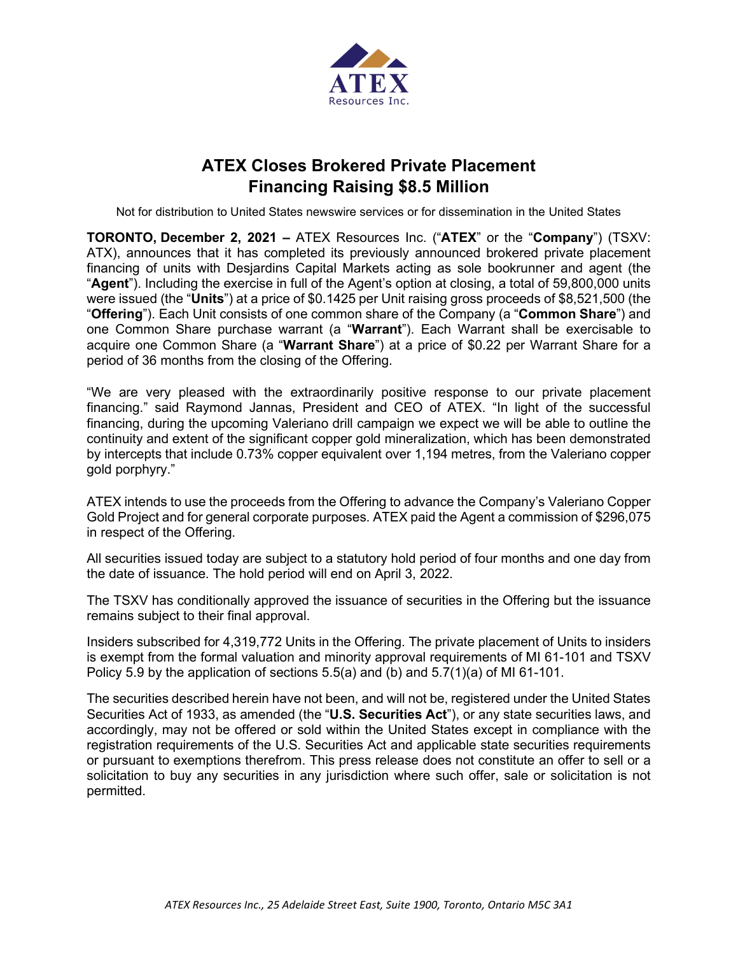

## **ATEX Closes Brokered Private Placement Financing Raising \$8.5 Million**

Not for distribution to United States newswire services or for dissemination in the United States

**TORONTO, December 2, 2021 –** ATEX Resources Inc. ("**ATEX**" or the "**Company**") (TSXV: ATX), announces that it has completed its previously announced brokered private placement financing of units with Desjardins Capital Markets acting as sole bookrunner and agent (the "**Agent**"). Including the exercise in full of the Agent's option at closing, a total of 59,800,000 units were issued (the "**Units**") at a price of \$0.1425 per Unit raising gross proceeds of \$8,521,500 (the "**Offering**"). Each Unit consists of one common share of the Company (a "**Common Share**") and one Common Share purchase warrant (a "**Warrant**"). Each Warrant shall be exercisable to acquire one Common Share (a "**Warrant Share**") at a price of \$0.22 per Warrant Share for a period of 36 months from the closing of the Offering.

"We are very pleased with the extraordinarily positive response to our private placement financing." said Raymond Jannas, President and CEO of ATEX. "In light of the successful financing, during the upcoming Valeriano drill campaign we expect we will be able to outline the continuity and extent of the significant copper gold mineralization, which has been demonstrated by intercepts that include 0.73% copper equivalent over 1,194 metres, from the Valeriano copper gold porphyry."

ATEX intends to use the proceeds from the Offering to advance the Company's Valeriano Copper Gold Project and for general corporate purposes. ATEX paid the Agent a commission of \$296,075 in respect of the Offering.

All securities issued today are subject to a statutory hold period of four months and one day from the date of issuance. The hold period will end on April 3, 2022.

The TSXV has conditionally approved the issuance of securities in the Offering but the issuance remains subject to their final approval.

Insiders subscribed for 4,319,772 Units in the Offering. The private placement of Units to insiders is exempt from the formal valuation and minority approval requirements of MI 61-101 and TSXV Policy 5.9 by the application of sections  $5.5(a)$  and (b) and  $5.7(1)(a)$  of MI 61-101.

The securities described herein have not been, and will not be, registered under the United States Securities Act of 1933, as amended (the "**U.S. Securities Act**"), or any state securities laws, and accordingly, may not be offered or sold within the United States except in compliance with the registration requirements of the U.S. Securities Act and applicable state securities requirements or pursuant to exemptions therefrom. This press release does not constitute an offer to sell or a solicitation to buy any securities in any jurisdiction where such offer, sale or solicitation is not permitted.